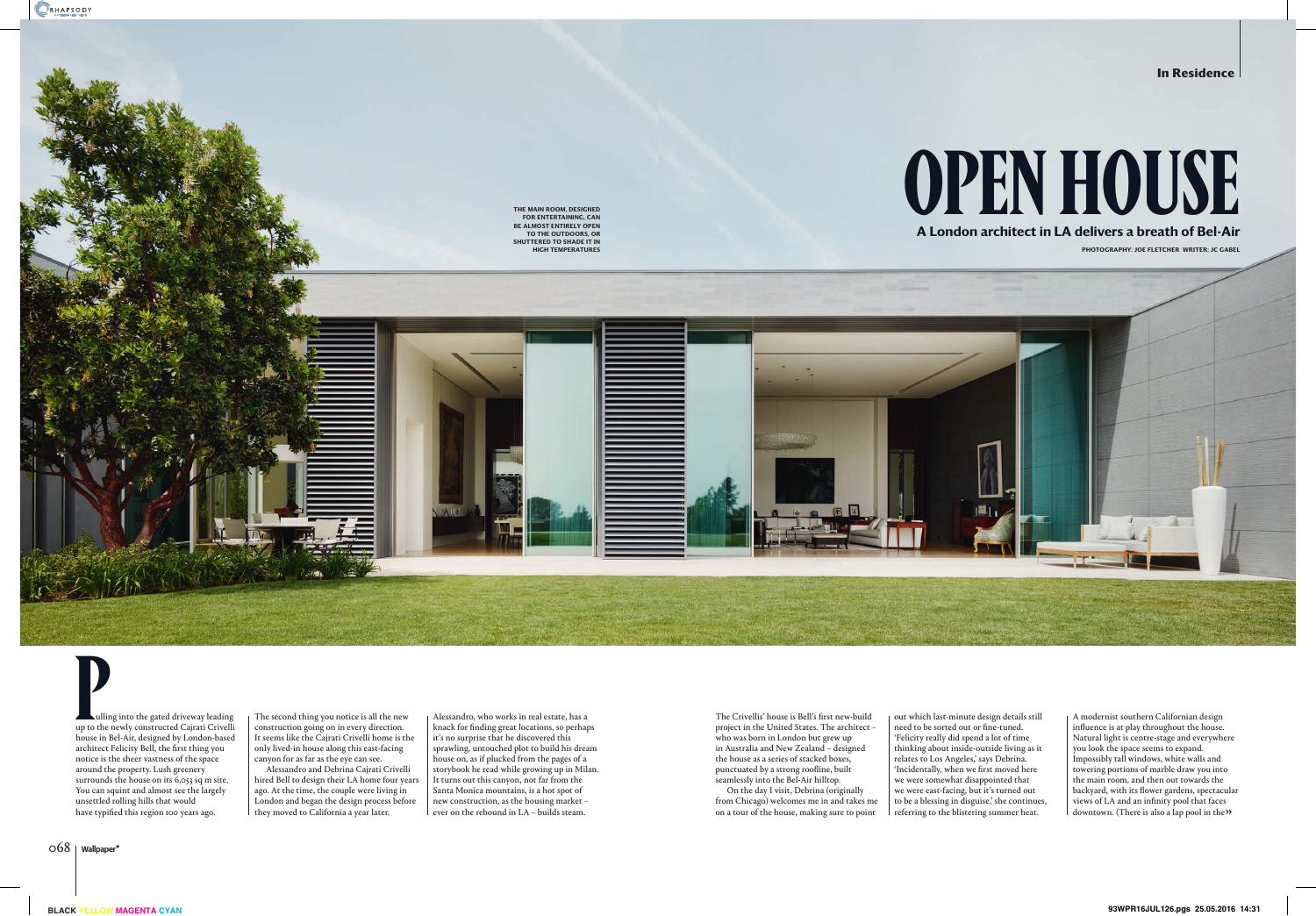Alessandro, who works in real estate, has a knack for finding great locations, so perhaps it's no surprise that he discovered this sprawling, untouched plot to build his dream house on, as if plucked from the pages of a storybook he read while growing up in Milan. It turns out this canyon, not far from the Santa Monica mountains, is a hot spot of new construction, as the housing market – ever on the rebound in LA – builds steam.

The Crivellis' house is Bell's first new-build project in the United States. The architect – who was born in London but grew up in Australia and New Zealand – designed the house as a series of stacked boxes, punctuated by a strong roofline, built seamlessly into the Bel-Air hilltop.

The second thing you notice is all the new construction going on in every direction. It seems like the Cajrati Crivelli home is the only lived-in house along this east-facing canyon for as far as the eye can see.

Alessandro and Debrina Cajrati Crivelli hired Bell to design their LA home four years ago. At the time, the couple were living in London and began the design process before they moved to California a year later.

On the day I visit, Debrina (originally from Chicago) welcomes me in and takes me on a tour of the house, making sure to point

out which last-minute design details still need to be sorted out or fine-tuned. 'Felicity really did spend a lot of time thinking about inside-outside living as it relates to Los Angeles,' says Debrina. 'Incidentally, when we first moved here we were somewhat disappointed that we were east-facing, but it's turned out to be a blessing in disguise,' she continues, referring to the blistering summer heat.



**P**ulling into the gated driveway leading up to the newly constructed Cajrati Crivelli house in Bel-Air, designed by London-based architect Felicity Bell, the first thing you notice is the sheer vastness of the space around the property. Lush greenery surrounds the house on its 6,053 sq m site. You can squint and almost see the largely unsettled rolling hills that would have typified this region 100 years ago.

A modernist southern Californian design influence is at play throughout the house. Natural light is centre-stage and everywhere you look the space seems to expand. Impossibly tall windows, white walls and towering portions of marble draw you into the main room, and then out towards the backyard, with its flower gardens, spectacular views of LA and an infinity pool that faces downtown. (There is also a lap pool in the **»**